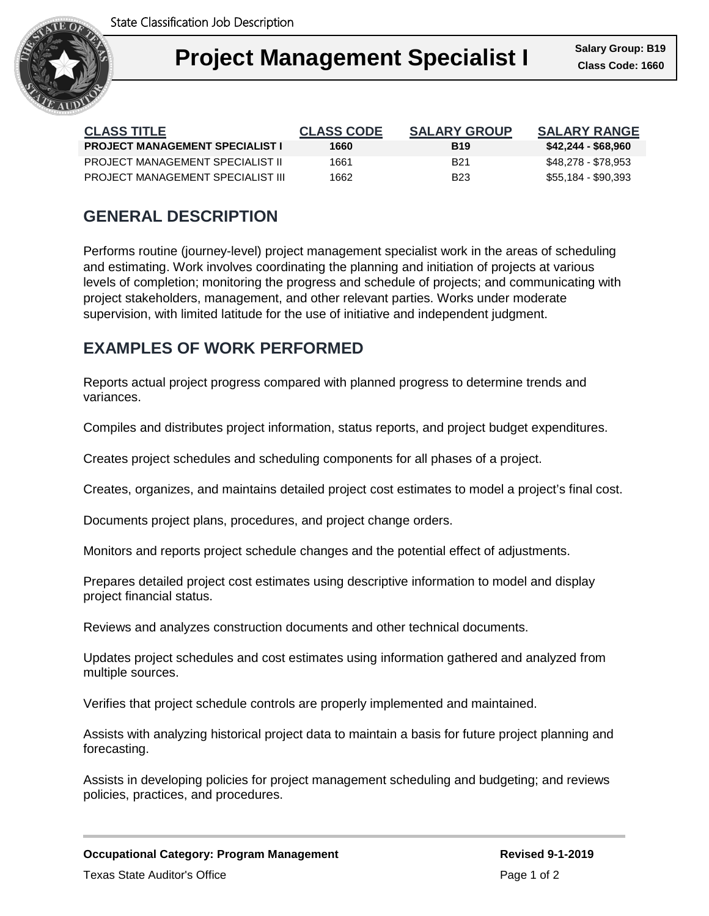

| <b>CLASS TITLE</b>                     | <b>CLASS CODE</b> | <b>SALARY GROUP</b> | <b>SALARY RANGE</b> |
|----------------------------------------|-------------------|---------------------|---------------------|
| <b>PROJECT MANAGEMENT SPECIALIST I</b> | 1660              | <b>B</b> 19         | \$42,244 - \$68,960 |
| PROJECT MANAGEMENT SPECIALIST IL       | 1661              | B <sub>21</sub>     | \$48,278 - \$78,953 |
| PROJECT MANAGEMENT SPECIAL IST III     | 1662              | <b>B23</b>          | \$55,184 - \$90,393 |

# **GENERAL DESCRIPTION**

Performs routine (journey-level) project management specialist work in the areas of scheduling and estimating. Work involves coordinating the planning and initiation of projects at various levels of completion; monitoring the progress and schedule of projects; and communicating with project stakeholders, management, and other relevant parties. Works under moderate supervision, with limited latitude for the use of initiative and independent judgment.

# **EXAMPLES OF WORK PERFORMED**

Reports actual project progress compared with planned progress to determine trends and variances.

Compiles and distributes project information, status reports, and project budget expenditures.

Creates project schedules and scheduling components for all phases of a project.

Creates, organizes, and maintains detailed project cost estimates to model a project's final cost.

Documents project plans, procedures, and project change orders.

Monitors and reports project schedule changes and the potential effect of adjustments.

Prepares detailed project cost estimates using descriptive information to model and display project financial status.

Reviews and analyzes construction documents and other technical documents.

Updates project schedules and cost estimates using information gathered and analyzed from multiple sources.

Verifies that project schedule controls are properly implemented and maintained.

Assists with analyzing historical project data to maintain a basis for future project planning and forecasting.

Assists in developing policies for project management scheduling and budgeting; and reviews policies, practices, and procedures.